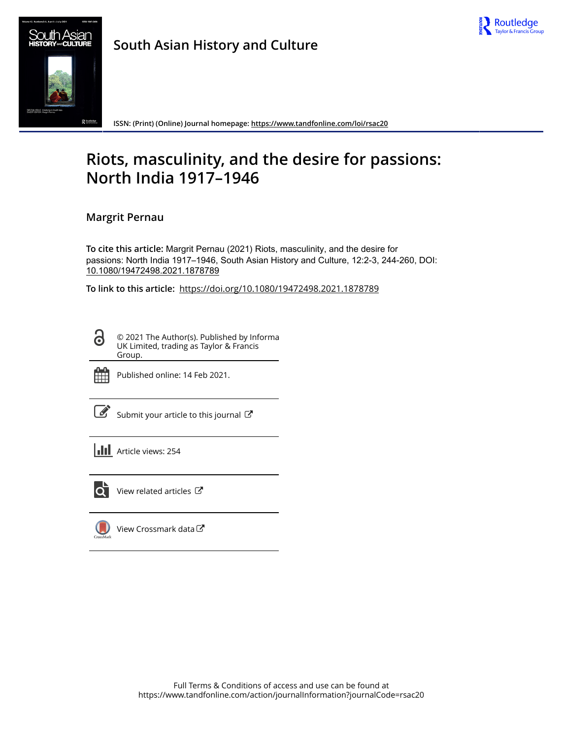



**South Asian History and Culture**

**ISSN: (Print) (Online) Journal homepage:<https://www.tandfonline.com/loi/rsac20>**

# **Riots, masculinity, and the desire for passions: North India 1917–1946**

# **Margrit Pernau**

**To cite this article:** Margrit Pernau (2021) Riots, masculinity, and the desire for passions: North India 1917–1946, South Asian History and Culture, 12:2-3, 244-260, DOI: [10.1080/19472498.2021.1878789](https://www.tandfonline.com/action/showCitFormats?doi=10.1080/19472498.2021.1878789)

**To link to this article:** <https://doi.org/10.1080/19472498.2021.1878789>

© 2021 The Author(s). Published by Informa UK Limited, trading as Taylor & Francis Group.



ര

Published online: 14 Feb 2021.

[Submit your article to this journal](https://www.tandfonline.com/action/authorSubmission?journalCode=rsac20&show=instructions)  $\mathbb{Z}$ 

**III** Article views: 254



 $\overrightarrow{Q}$  [View related articles](https://www.tandfonline.com/doi/mlt/10.1080/19472498.2021.1878789)  $\overrightarrow{C}$ 

 $\bigcup$ [View Crossmark data](http://crossmark.crossref.org/dialog/?doi=10.1080/19472498.2021.1878789&domain=pdf&date_stamp=2021-02-14) $\mathbb{Z}$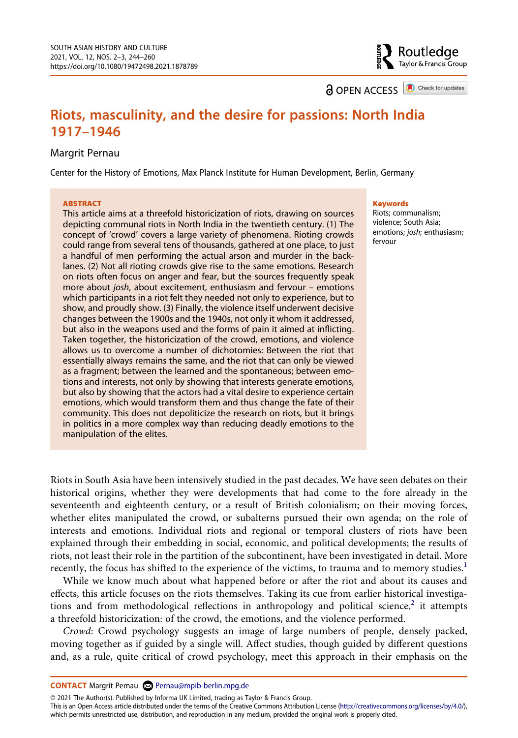**a** OPEN ACCESS **a** Check for updates

Routledge Taylor & Francis Group

# **Riots, masculinity, and the desire for passions: North India 1917–1946**

#### Margrit Pernau

Center for the History of Emotions, Max Planck Institute for Human Development, Berlin, Germany

#### **ABSTRACT**

This article aims at a threefold historicization of riots, drawing on sources depicting communal riots in North India in the twentieth century. (1) The concept of 'crowd' covers a large variety of phenomena. Rioting crowds could range from several tens of thousands, gathered at one place, to just a handful of men performing the actual arson and murder in the backlanes. (2) Not all rioting crowds give rise to the same emotions. Research on riots often focus on anger and fear, but the sources frequently speak more about *josh*, about excitement, enthusiasm and fervour – emotions which participants in a riot felt they needed not only to experience, but to show, and proudly show. (3) Finally, the violence itself underwent decisive changes between the 1900s and the 1940s, not only it whom it addressed, but also in the weapons used and the forms of pain it aimed at inflicting. Taken together, the historicization of the crowd, emotions, and violence allows us to overcome a number of dichotomies: Between the riot that essentially always remains the same, and the riot that can only be viewed as a fragment; between the learned and the spontaneous; between emotions and interests, not only by showing that interests generate emotions, but also by showing that the actors had a vital desire to experience certain emotions, which would transform them and thus change the fate of their community. This does not depoliticize the research on riots, but it brings in politics in a more complex way than reducing deadly emotions to the manipulation of the elites.

#### **Keywords**

Riots; communalism; violence; South Asia; emotions; *josh*; enthusiasm; fervour

Riots in South Asia have been intensively studied in the past decades. We have seen debates on their historical origins, whether they were developments that had come to the fore already in the seventeenth and eighteenth century, or a result of British colonialism; on their moving forces, whether elites manipulated the crowd, or subalterns pursued their own agenda; on the role of interests and emotions. Individual riots and regional or temporal clusters of riots have been explained through their embedding in social, economic, and political developments; the results of riots, not least their role in the partition of the subcontinent, have been investigated in detail. More recently, the focus has shifted to the experience of the victims, to trauma and to memory studies.<sup>[1](#page-13-0)</sup>

While we know much about what happened before or after the riot and about its causes and effects, this article focuses on the riots themselves. Taking its cue from earlier historical investiga-tions and from methodological reflections in anthropology and political science,<sup>[2](#page-14-0)</sup> it attempts a threefold historicization: of the crowd, the emotions, and the violence performed.

*Crowd*: Crowd psychology suggests an image of large numbers of people, densely packed, moving together as if guided by a single will. Affect studies, though guided by different questions and, as a rule, quite critical of crowd psychology, meet this approach in their emphasis on the

**CONTACT** Margrit Pernau 2 Pernau@mpib-berlin.mpg.de

© 2021 The Author(s). Published by Informa UK Limited, trading as Taylor & Francis Group.

This is an Open Access article distributed under the terms of the Creative Commons Attribution License (http://creativecommons.org/licenses/by/4.0/), which permits unrestricted use, distribution, and reproduction in any medium, provided the original work is properly cited.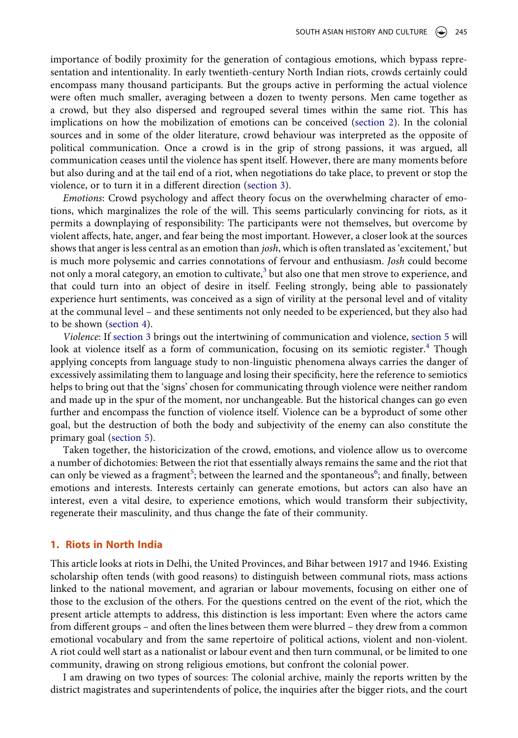importance of bodily proximity for the generation of contagious emotions, which bypass representation and intentionality. In early twentieth-century North Indian riots, crowds certainly could encompass many thousand participants. But the groups active in performing the actual violence were often much smaller, averaging between a dozen to twenty persons. Men came together as a crowd, but they also dispersed and regrouped several times within the same riot. This has implications on how the mobilization of emotions can be conceived [\(section 2](#page-4-0)). In the colonial sources and in some of the older literature, crowd behaviour was interpreted as the opposite of political communication. Once a crowd is in the grip of strong passions, it was argued, all communication ceases until the violence has spent itself. However, there are many moments before but also during and at the tail end of a riot, when negotiations do take place, to prevent or stop the violence, or to turn it in a different direction ([section 3\)](#page-5-0).

*Emotions*: Crowd psychology and affect theory focus on the overwhelming character of emotions, which marginalizes the role of the will. This seems particularly convincing for riots, as it permits a downplaying of responsibility: The participants were not themselves, but overcome by violent affects, hate, anger, and fear being the most important. However, a closer look at the sources shows that anger is less central as an emotion than *josh*, which is often translated as 'excitement,' but is much more polysemic and carries connotations of fervour and enthusiasm. *Josh* could become not only a moral category, an emotion to cultivate, $3$  but also one that men strove to experience, and that could turn into an object of desire in itself. Feeling strongly, being able to passionately experience hurt sentiments, was conceived as a sign of virility at the personal level and of vitality at the communal level – and these sentiments not only needed to be experienced, but they also had to be shown ([section 4\)](#page-8-0).

*Violence*: If [section 3](#page-5-0) brings out the intertwining of communication and violence, [section 5](#page-11-0) will look at violence itself as a form of communication, focusing on its semiotic register.<sup>[4](#page-14-2)</sup> Though applying concepts from language study to non-linguistic phenomena always carries the danger of excessively assimilating them to language and losing their specificity, here the reference to semiotics helps to bring out that the 'signs' chosen for communicating through violence were neither random and made up in the spur of the moment, nor unchangeable. But the historical changes can go even further and encompass the function of violence itself. Violence can be a byproduct of some other goal, but the destruction of both the body and subjectivity of the enemy can also constitute the primary goal [\(section 5](#page-11-0)).

Taken together, the historicization of the crowd, emotions, and violence allow us to overcome a number of dichotomies: Between the riot that essentially always remains the same and the riot that can only be viewed as a fragment<sup>[5](#page-14-3)</sup>; between the learned and the spontaneous<sup>[6](#page-14-4)</sup>; and finally, between emotions and interests. Interests certainly can generate emotions, but actors can also have an interest, even a vital desire, to experience emotions, which would transform their subjectivity, regenerate their masculinity, and thus change the fate of their community.

#### **1. Riots in North India**

This article looks at riots in Delhi, the United Provinces, and Bihar between 1917 and 1946. Existing scholarship often tends (with good reasons) to distinguish between communal riots, mass actions linked to the national movement, and agrarian or labour movements, focusing on either one of those to the exclusion of the others. For the questions centred on the event of the riot, which the present article attempts to address, this distinction is less important: Even where the actors came from different groups – and often the lines between them were blurred – they drew from a common emotional vocabulary and from the same repertoire of political actions, violent and non-violent. A riot could well start as a nationalist or labour event and then turn communal, or be limited to one community, drawing on strong religious emotions, but confront the colonial power.

I am drawing on two types of sources: The colonial archive, mainly the reports written by the district magistrates and superintendents of police, the inquiries after the bigger riots, and the court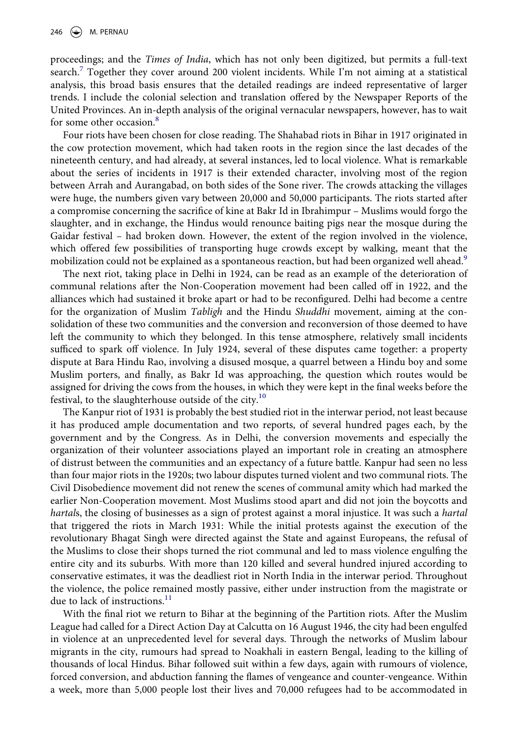proceedings; and the *Times of India*, which has not only been digitized, but permits a full-text search.[7](#page-14-5) Together they cover around 200 violent incidents. While I'm not aiming at a statistical analysis, this broad basis ensures that the detailed readings are indeed representative of larger trends. I include the colonial selection and translation offered by the Newspaper Reports of the United Provinces. An in-depth analysis of the original vernacular newspapers, however, has to wait for some other occasion.<sup>[8](#page-14-6)</sup>

Four riots have been chosen for close reading. The Shahabad riots in Bihar in 1917 originated in the cow protection movement, which had taken roots in the region since the last decades of the nineteenth century, and had already, at several instances, led to local violence. What is remarkable about the series of incidents in 1917 is their extended character, involving most of the region between Arrah and Aurangabad, on both sides of the Sone river. The crowds attacking the villages were huge, the numbers given vary between 20,000 and 50,000 participants. The riots started after a compromise concerning the sacrifice of kine at Bakr Id in Ibrahimpur – Muslims would forgo the slaughter, and in exchange, the Hindus would renounce baiting pigs near the mosque during the Gaidar festival – had broken down. However, the extent of the region involved in the violence, which offered few possibilities of transporting huge crowds except by walking, meant that the mobilization could not be explained as a spontaneous reaction, but had been organized well ahead.<sup>[9](#page-14-7)</sup>

The next riot, taking place in Delhi in 1924, can be read as an example of the deterioration of communal relations after the Non-Cooperation movement had been called off in 1922, and the alliances which had sustained it broke apart or had to be reconfigured. Delhi had become a centre for the organization of Muslim *Tabligh* and the Hindu *Shuddhi* movement, aiming at the consolidation of these two communities and the conversion and reconversion of those deemed to have left the community to which they belonged. In this tense atmosphere, relatively small incidents sufficed to spark off violence. In July 1924, several of these disputes came together: a property dispute at Bara Hindu Rao, involving a disused mosque, a quarrel between a Hindu boy and some Muslim porters, and finally, as Bakr Id was approaching, the question which routes would be assigned for driving the cows from the houses, in which they were kept in the final weeks before the festival, to the slaughterhouse outside of the city.<sup>10</sup>

The Kanpur riot of 1931 is probably the best studied riot in the interwar period, not least because it has produced ample documentation and two reports, of several hundred pages each, by the government and by the Congress. As in Delhi, the conversion movements and especially the organization of their volunteer associations played an important role in creating an atmosphere of distrust between the communities and an expectancy of a future battle. Kanpur had seen no less than four major riots in the 1920s; two labour disputes turned violent and two communal riots. The Civil Disobedience movement did not renew the scenes of communal amity which had marked the earlier Non-Cooperation movement. Most Muslims stood apart and did not join the boycotts and *hartal*s, the closing of businesses as a sign of protest against a moral injustice. It was such a *hartal*  that triggered the riots in March 1931: While the initial protests against the execution of the revolutionary Bhagat Singh were directed against the State and against Europeans, the refusal of the Muslims to close their shops turned the riot communal and led to mass violence engulfing the entire city and its suburbs. With more than 120 killed and several hundred injured according to conservative estimates, it was the deadliest riot in North India in the interwar period. Throughout the violence, the police remained mostly passive, either under instruction from the magistrate or due to lack of instructions.<sup>[11](#page-14-9)</sup>

With the final riot we return to Bihar at the beginning of the Partition riots. After the Muslim League had called for a Direct Action Day at Calcutta on 16 August 1946, the city had been engulfed in violence at an unprecedented level for several days. Through the networks of Muslim labour migrants in the city, rumours had spread to Noakhali in eastern Bengal, leading to the killing of thousands of local Hindus. Bihar followed suit within a few days, again with rumours of violence, forced conversion, and abduction fanning the flames of vengeance and counter-vengeance. Within a week, more than 5,000 people lost their lives and 70,000 refugees had to be accommodated in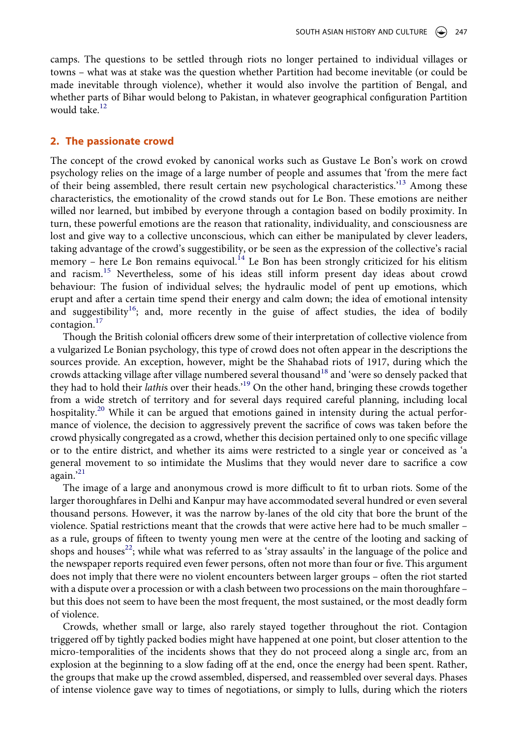camps. The questions to be settled through riots no longer pertained to individual villages or towns – what was at stake was the question whether Partition had become inevitable (or could be made inevitable through violence), whether it would also involve the partition of Bengal, and whether parts of Bihar would belong to Pakistan, in whatever geographical configuration Partition would take.<sup>[12](#page-14-10)</sup>

#### <span id="page-4-0"></span>**2. The passionate crowd**

The concept of the crowd evoked by canonical works such as Gustave Le Bon's work on crowd psychology relies on the image of a large number of people and assumes that 'from the mere fact of their being assembled, there result certain new psychological characteristics.<sup>'13</sup> Among these characteristics, the emotionality of the crowd stands out for Le Bon. These emotions are neither willed nor learned, but imbibed by everyone through a contagion based on bodily proximity. In turn, these powerful emotions are the reason that rationality, individuality, and consciousness are lost and give way to a collective unconscious, which can either be manipulated by clever leaders, taking advantage of the crowd's suggestibility, or be seen as the expression of the collective's racial memory – here Le Bon remains equivocal.<sup>[14](#page-14-12)</sup> Le Bon has been strongly criticized for his elitism and racism.<sup>15</sup> Nevertheless, some of his ideas still inform present day ideas about crowd behaviour: The fusion of individual selves; the hydraulic model of pent up emotions, which erupt and after a certain time spend their energy and calm down; the idea of emotional intensity and suggestibility<sup>16</sup>; and, more recently in the guise of affect studies, the idea of bodily contagion.[17](#page-14-15)

Though the British colonial officers drew some of their interpretation of collective violence from a vulgarized Le Bonian psychology, this type of crowd does not often appear in the descriptions the sources provide. An exception, however, might be the Shahabad riots of 1917, during which the crowds attacking village after village numbered several thousand<sup>18</sup> and 'were so densely packed that they had to hold their *lathi*s over their heads.['19](#page-14-17) On the other hand, bringing these crowds together from a wide stretch of territory and for several days required careful planning, including local hospitality.<sup>20</sup> While it can be argued that emotions gained in intensity during the actual performance of violence, the decision to aggressively prevent the sacrifice of cows was taken before the crowd physically congregated as a crowd, whether this decision pertained only to one specific village or to the entire district, and whether its aims were restricted to a single year or conceived as 'a general movement to so intimidate the Muslims that they would never dare to sacrifice a cow again.'<sup>21</sup>

The image of a large and anonymous crowd is more difficult to fit to urban riots. Some of the larger thoroughfares in Delhi and Kanpur may have accommodated several hundred or even several thousand persons. However, it was the narrow by-lanes of the old city that bore the brunt of the violence. Spatial restrictions meant that the crowds that were active here had to be much smaller – as a rule, groups of fifteen to twenty young men were at the centre of the looting and sacking of shops and houses<sup>22</sup>; while what was referred to as 'stray assaults' in the language of the police and the newspaper reports required even fewer persons, often not more than four or five. This argument does not imply that there were no violent encounters between larger groups – often the riot started with a dispute over a procession or with a clash between two processions on the main thoroughfare – but this does not seem to have been the most frequent, the most sustained, or the most deadly form of violence.

Crowds, whether small or large, also rarely stayed together throughout the riot. Contagion triggered off by tightly packed bodies might have happened at one point, but closer attention to the micro-temporalities of the incidents shows that they do not proceed along a single arc, from an explosion at the beginning to a slow fading off at the end, once the energy had been spent. Rather, the groups that make up the crowd assembled, dispersed, and reassembled over several days. Phases of intense violence gave way to times of negotiations, or simply to lulls, during which the rioters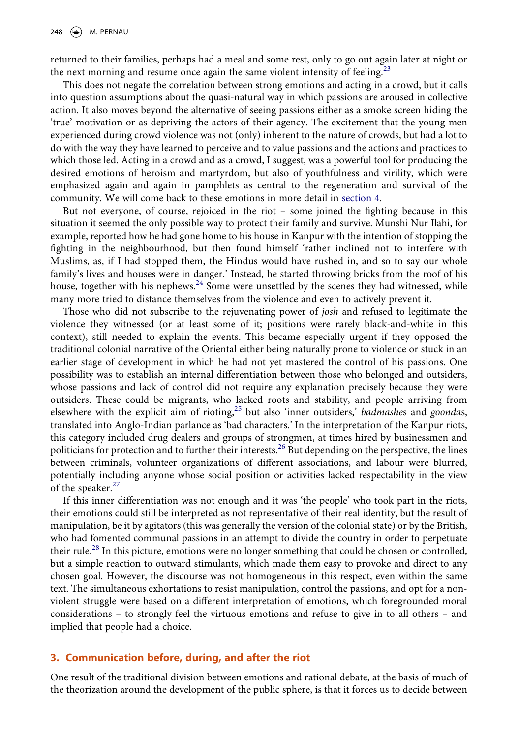returned to their families, perhaps had a meal and some rest, only to go out again later at night or the next morning and resume once again the same violent intensity of feeling.<sup>23</sup>

This does not negate the correlation between strong emotions and acting in a crowd, but it calls into question assumptions about the quasi-natural way in which passions are aroused in collective action. It also moves beyond the alternative of seeing passions either as a smoke screen hiding the 'true' motivation or as depriving the actors of their agency. The excitement that the young men experienced during crowd violence was not (only) inherent to the nature of crowds, but had a lot to do with the way they have learned to perceive and to value passions and the actions and practices to which those led. Acting in a crowd and as a crowd, I suggest, was a powerful tool for producing the desired emotions of heroism and martyrdom, but also of youthfulness and virility, which were emphasized again and again in pamphlets as central to the regeneration and survival of the community. We will come back to these emotions in more detail in [section 4.](#page-8-0)

But not everyone, of course, rejoiced in the riot – some joined the fighting because in this situation it seemed the only possible way to protect their family and survive. Munshi Nur Ilahi, for example, reported how he had gone home to his house in Kanpur with the intention of stopping the fighting in the neighbourhood, but then found himself 'rather inclined not to interfere with Muslims, as, if I had stopped them, the Hindus would have rushed in, and so to say our whole family's lives and houses were in danger.' Instead, he started throwing bricks from the roof of his house, together with his nephews.<sup>24</sup> Some were unsettled by the scenes they had witnessed, while many more tried to distance themselves from the violence and even to actively prevent it.

Those who did not subscribe to the rejuvenating power of *josh* and refused to legitimate the violence they witnessed (or at least some of it; positions were rarely black-and-white in this context), still needed to explain the events. This became especially urgent if they opposed the traditional colonial narrative of the Oriental either being naturally prone to violence or stuck in an earlier stage of development in which he had not yet mastered the control of his passions. One possibility was to establish an internal differentiation between those who belonged and outsiders, whose passions and lack of control did not require any explanation precisely because they were outsiders. These could be migrants, who lacked roots and stability, and people arriving from elsewhere with the explicit aim of rioting[,25](#page-14-23) but also 'inner outsiders,' *badmashe*s and *goonda*s, translated into Anglo-Indian parlance as 'bad characters.' In the interpretation of the Kanpur riots, this category included drug dealers and groups of strongmen, at times hired by businessmen and politicians for protection and to further their interests.<sup>26</sup> But depending on the perspective, the lines between criminals, volunteer organizations of different associations, and labour were blurred, potentially including anyone whose social position or activities lacked respectability in the view of the speaker.<sup>27</sup>

If this inner differentiation was not enough and it was 'the people' who took part in the riots, their emotions could still be interpreted as not representative of their real identity, but the result of manipulation, be it by agitators (this was generally the version of the colonial state) or by the British, who had fomented communal passions in an attempt to divide the country in order to perpetuate their rule.<sup>28</sup> In this picture, emotions were no longer something that could be chosen or controlled, but a simple reaction to outward stimulants, which made them easy to provoke and direct to any chosen goal. However, the discourse was not homogeneous in this respect, even within the same text. The simultaneous exhortations to resist manipulation, control the passions, and opt for a nonviolent struggle were based on a different interpretation of emotions, which foregrounded moral considerations – to strongly feel the virtuous emotions and refuse to give in to all others – and implied that people had a choice.

# <span id="page-5-0"></span>**3. Communication before, during, and after the riot**

One result of the traditional division between emotions and rational debate, at the basis of much of the theorization around the development of the public sphere, is that it forces us to decide between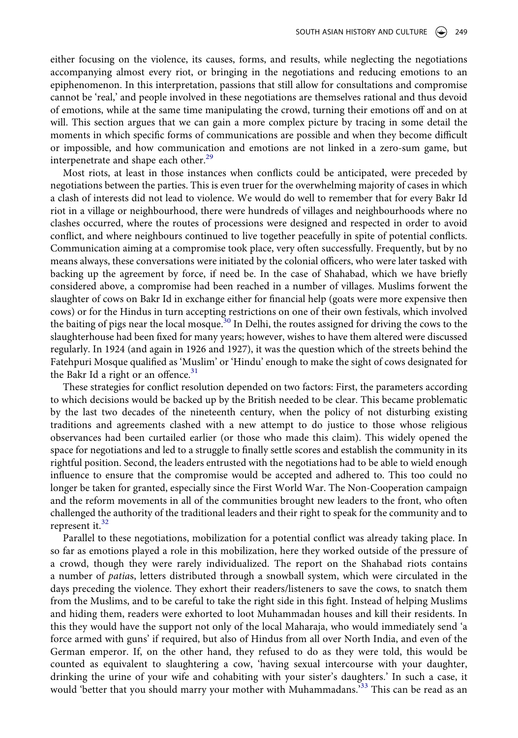either focusing on the violence, its causes, forms, and results, while neglecting the negotiations accompanying almost every riot, or bringing in the negotiations and reducing emotions to an epiphenomenon. In this interpretation, passions that still allow for consultations and compromise cannot be 'real,' and people involved in these negotiations are themselves rational and thus devoid of emotions, while at the same time manipulating the crowd, turning their emotions off and on at will. This section argues that we can gain a more complex picture by tracing in some detail the moments in which specific forms of communications are possible and when they become difficult or impossible, and how communication and emotions are not linked in a zero-sum game, but interpenetrate and shape each other.<sup>[29](#page-14-27)</sup>

Most riots, at least in those instances when conflicts could be anticipated, were preceded by negotiations between the parties. This is even truer for the overwhelming majority of cases in which a clash of interests did not lead to violence. We would do well to remember that for every Bakr Id riot in a village or neighbourhood, there were hundreds of villages and neighbourhoods where no clashes occurred, where the routes of processions were designed and respected in order to avoid conflict, and where neighbours continued to live together peacefully in spite of potential conflicts. Communication aiming at a compromise took place, very often successfully. Frequently, but by no means always, these conversations were initiated by the colonial officers, who were later tasked with backing up the agreement by force, if need be. In the case of Shahabad, which we have briefly considered above, a compromise had been reached in a number of villages. Muslims forwent the slaughter of cows on Bakr Id in exchange either for financial help (goats were more expensive then cows) or for the Hindus in turn accepting restrictions on one of their own festivals, which involved the baiting of pigs near the local mosque.<sup>30</sup> In Delhi, the routes assigned for driving the cows to the slaughterhouse had been fixed for many years; however, wishes to have them altered were discussed regularly. In 1924 (and again in 1926 and 1927), it was the question which of the streets behind the Fatehpuri Mosque qualified as 'Muslim' or 'Hindu' enough to make the sight of cows designated for the Bakr Id a right or an offence. $31$ 

These strategies for conflict resolution depended on two factors: First, the parameters according to which decisions would be backed up by the British needed to be clear. This became problematic by the last two decades of the nineteenth century, when the policy of not disturbing existing traditions and agreements clashed with a new attempt to do justice to those whose religious observances had been curtailed earlier (or those who made this claim). This widely opened the space for negotiations and led to a struggle to finally settle scores and establish the community in its rightful position. Second, the leaders entrusted with the negotiations had to be able to wield enough influence to ensure that the compromise would be accepted and adhered to. This too could no longer be taken for granted, especially since the First World War. The Non-Cooperation campaign and the reform movements in all of the communities brought new leaders to the front, who often challenged the authority of the traditional leaders and their right to speak for the community and to represent it. $32$ 

Parallel to these negotiations, mobilization for a potential conflict was already taking place. In so far as emotions played a role in this mobilization, here they worked outside of the pressure of a crowd, though they were rarely individualized. The report on the Shahabad riots contains a number of *patia*s, letters distributed through a snowball system, which were circulated in the days preceding the violence. They exhort their readers/listeners to save the cows, to snatch them from the Muslims, and to be careful to take the right side in this fight. Instead of helping Muslims and hiding them, readers were exhorted to loot Muhammadan houses and kill their residents. In this they would have the support not only of the local Maharaja, who would immediately send 'a force armed with guns' if required, but also of Hindus from all over North India, and even of the German emperor. If, on the other hand, they refused to do as they were told, this would be counted as equivalent to slaughtering a cow, 'having sexual intercourse with your daughter, drinking the urine of your wife and cohabiting with your sister's daughters.' In such a case, it would 'better that you should marry your mother with Muhammadans.<sup>533</sup> This can be read as an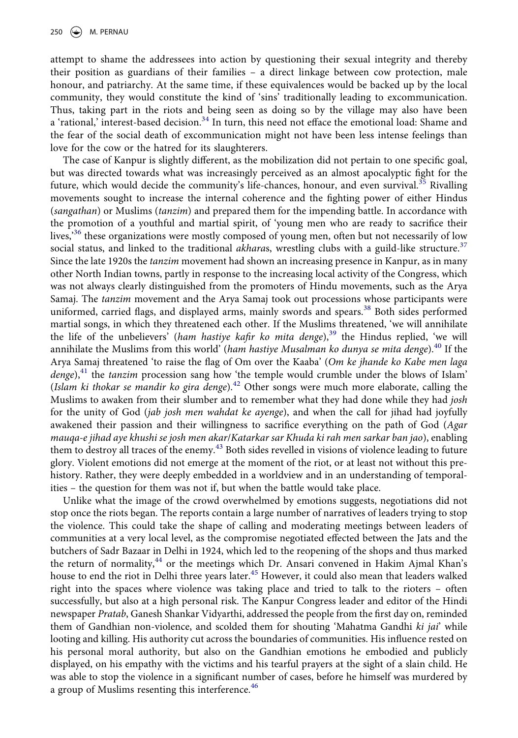attempt to shame the addressees into action by questioning their sexual integrity and thereby their position as guardians of their families – a direct linkage between cow protection, male honour, and patriarchy. At the same time, if these equivalences would be backed up by the local community, they would constitute the kind of 'sins' traditionally leading to excommunication. Thus, taking part in the riots and being seen as doing so by the village may also have been a 'rational,' interest-based decision.<sup>[34](#page-15-3)</sup> In turn, this need not efface the emotional load: Shame and the fear of the social death of excommunication might not have been less intense feelings than love for the cow or the hatred for its slaughterers.

The case of Kanpur is slightly different, as the mobilization did not pertain to one specific goal, but was directed towards what was increasingly perceived as an almost apocalyptic fight for the future, which would decide the community's life-chances, honour, and even survival.<sup>[35](#page-15-4)</sup> Rivalling movements sought to increase the internal coherence and the fighting power of either Hindus (*sangathan*) or Muslims (*tanzim*) and prepared them for the impending battle. In accordance with the promotion of a youthful and martial spirit, of 'young men who are ready to sacrifice their lives,<sup>356</sup> these organizations were mostly composed of young men, often but not necessarily of low social status, and linked to the traditional *akharas*, wrestling clubs with a guild-like structure.<sup>37</sup> Since the late 1920s the *tanzim* movement had shown an increasing presence in Kanpur, as in many other North Indian towns, partly in response to the increasing local activity of the Congress, which was not always clearly distinguished from the promoters of Hindu movements, such as the Arya Samaj. The *tanzim* movement and the Arya Samaj took out processions whose participants were uniformed, carried flags, and displayed arms, mainly swords and spears.<sup>[38](#page-15-7)</sup> Both sides performed martial songs, in which they threatened each other. If the Muslims threatened, 'we will annihilate the life of the unbelievers<sup>3</sup> (*ham hastiye kafir ko mita denge*),<sup>39</sup> the Hindus replied, 'we will annihilate the Muslims from this world' (ham hastiye Musalman ko dunya se mita denge).<sup>40</sup> If the Arya Samaj threatened 'to raise the flag of Om over the Kaaba' (*Om ke jhande ko Kabe men laga denge*),<sup>41</sup> the *tanzim* procession sang how 'the temple would crumble under the blows of Islam' (*Islam ki thokar se mandir ko gira denge*).[42](#page-15-11) Other songs were much more elaborate, calling the Muslims to awaken from their slumber and to remember what they had done while they had *josh*  for the unity of God (*jab josh men wahdat ke ayenge*), and when the call for jihad had joyfully awakened their passion and their willingness to sacrifice everything on the path of God (*Agar mauqa-e jihad aye khushi se josh men akar*/*Katarkar sar Khuda ki rah men sarkar ban jao*), enabling them to destroy all traces of the enemy.<sup>43</sup> Both sides revelled in visions of violence leading to future glory. Violent emotions did not emerge at the moment of the riot, or at least not without this prehistory. Rather, they were deeply embedded in a worldview and in an understanding of temporalities – the question for them was not if, but when the battle would take place.

Unlike what the image of the crowd overwhelmed by emotions suggests, negotiations did not stop once the riots began. The reports contain a large number of narratives of leaders trying to stop the violence. This could take the shape of calling and moderating meetings between leaders of communities at a very local level, as the compromise negotiated effected between the Jats and the butchers of Sadr Bazaar in Delhi in 1924, which led to the reopening of the shops and thus marked the return of normality,<sup>44</sup> or the meetings which Dr. Ansari convened in Hakim Ajmal Khan's house to end the riot in Delhi three years later.<sup>45</sup> However, it could also mean that leaders walked right into the spaces where violence was taking place and tried to talk to the rioters – often successfully, but also at a high personal risk. The Kanpur Congress leader and editor of the Hindi newspaper *Pratab*, Ganesh Shankar Vidyarthi, addressed the people from the first day on, reminded them of Gandhian non-violence, and scolded them for shouting 'Mahatma Gandhi *ki jai*' while looting and killing. His authority cut across the boundaries of communities. His influence rested on his personal moral authority, but also on the Gandhian emotions he embodied and publicly displayed, on his empathy with the victims and his tearful prayers at the sight of a slain child. He was able to stop the violence in a significant number of cases, before he himself was murdered by a group of Muslims resenting this interference.<sup>[46](#page-15-15)</sup>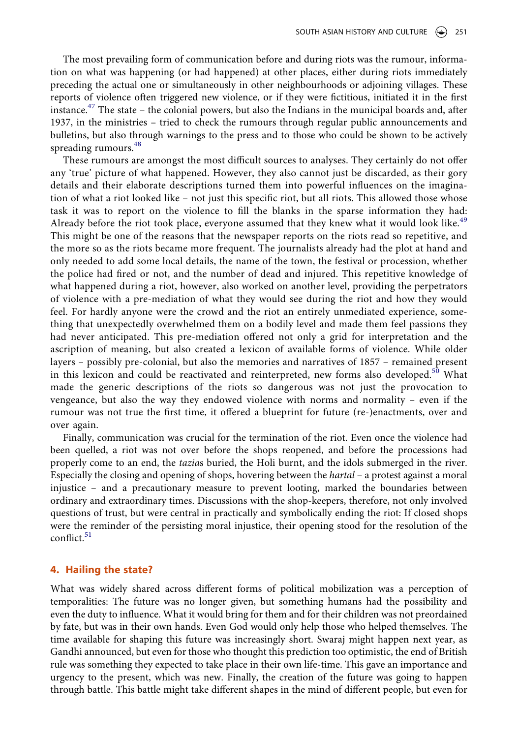The most prevailing form of communication before and during riots was the rumour, information on what was happening (or had happened) at other places, either during riots immediately preceding the actual one or simultaneously in other neighbourhoods or adjoining villages. These reports of violence often triggered new violence, or if they were fictitious, initiated it in the first instance.[47](#page-15-16) The state – the colonial powers, but also the Indians in the municipal boards and, after 1937, in the ministries – tried to check the rumours through regular public announcements and bulletins, but also through warnings to the press and to those who could be shown to be actively spreading rumours. $48$ 

These rumours are amongst the most difficult sources to analyses. They certainly do not offer any 'true' picture of what happened. However, they also cannot just be discarded, as their gory details and their elaborate descriptions turned them into powerful influences on the imagination of what a riot looked like – not just this specific riot, but all riots. This allowed those whose task it was to report on the violence to fill the blanks in the sparse information they had: Already before the riot took place, everyone assumed that they knew what it would look like.<sup>[49](#page-15-18)</sup> This might be one of the reasons that the newspaper reports on the riots read so repetitive, and the more so as the riots became more frequent. The journalists already had the plot at hand and only needed to add some local details, the name of the town, the festival or procession, whether the police had fired or not, and the number of dead and injured. This repetitive knowledge of what happened during a riot, however, also worked on another level, providing the perpetrators of violence with a pre-mediation of what they would see during the riot and how they would feel. For hardly anyone were the crowd and the riot an entirely unmediated experience, something that unexpectedly overwhelmed them on a bodily level and made them feel passions they had never anticipated. This pre-mediation offered not only a grid for interpretation and the ascription of meaning, but also created a lexicon of available forms of violence. While older layers – possibly pre-colonial, but also the memories and narratives of 1857 – remained present in this lexicon and could be reactivated and reinterpreted, new forms also developed.<sup>50</sup> What made the generic descriptions of the riots so dangerous was not just the provocation to vengeance, but also the way they endowed violence with norms and normality – even if the rumour was not true the first time, it offered a blueprint for future (re-)enactments, over and over again.

Finally, communication was crucial for the termination of the riot. Even once the violence had been quelled, a riot was not over before the shops reopened, and before the processions had properly come to an end, the *tazia*s buried, the Holi burnt, and the idols submerged in the river. Especially the closing and opening of shops, hovering between the *hartal* – a protest against a moral injustice – and a precautionary measure to prevent looting, marked the boundaries between ordinary and extraordinary times. Discussions with the shop-keepers, therefore, not only involved questions of trust, but were central in practically and symbolically ending the riot: If closed shops were the reminder of the persisting moral injustice, their opening stood for the resolution of the  $\text{conflict}$ <sup>51</sup>

## <span id="page-8-0"></span>**4. Hailing the state?**

What was widely shared across different forms of political mobilization was a perception of temporalities: The future was no longer given, but something humans had the possibility and even the duty to influence. What it would bring for them and for their children was not preordained by fate, but was in their own hands. Even God would only help those who helped themselves. The time available for shaping this future was increasingly short. Swaraj might happen next year, as Gandhi announced, but even for those who thought this prediction too optimistic, the end of British rule was something they expected to take place in their own life-time. This gave an importance and urgency to the present, which was new. Finally, the creation of the future was going to happen through battle. This battle might take different shapes in the mind of different people, but even for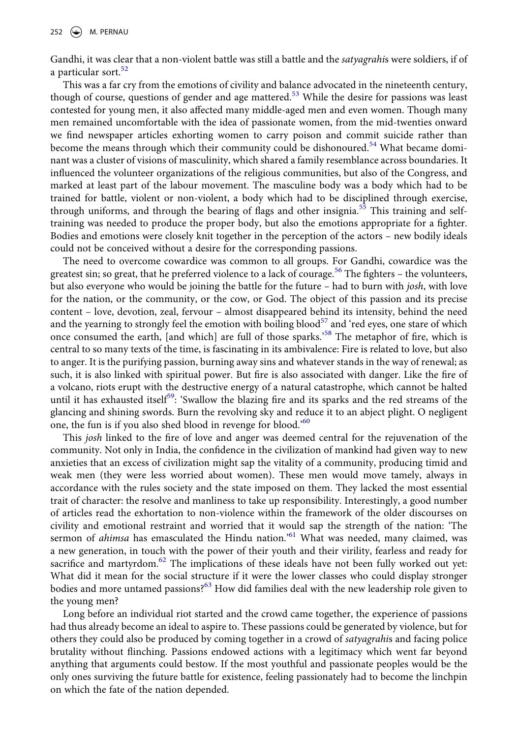Gandhi, it was clear that a non-violent battle was still a battle and the *satyagrahi*s were soldiers, if of a particular sort.<sup>52</sup>

This was a far cry from the emotions of civility and balance advocated in the nineteenth century, though of course, questions of gender and age mattered.<sup>[53](#page-15-22)</sup> While the desire for passions was least contested for young men, it also affected many middle-aged men and even women. Though many men remained uncomfortable with the idea of passionate women, from the mid-twenties onward we find newspaper articles exhorting women to carry poison and commit suicide rather than become the means through which their community could be dishonoured.<sup>54</sup> What became dominant was a cluster of visions of masculinity, which shared a family resemblance across boundaries. It influenced the volunteer organizations of the religious communities, but also of the Congress, and marked at least part of the labour movement. The masculine body was a body which had to be trained for battle, violent or non-violent, a body which had to be disciplined through exercise, through uniforms, and through the bearing of flags and other insignia.<sup>[55](#page-15-24)</sup> This training and selftraining was needed to produce the proper body, but also the emotions appropriate for a fighter. Bodies and emotions were closely knit together in the perception of the actors – new bodily ideals could not be conceived without a desire for the corresponding passions.

The need to overcome cowardice was common to all groups. For Gandhi, cowardice was the greatest sin; so great, that he preferred violence to a lack of courage.<sup>56</sup> The fighters – the volunteers, but also everyone who would be joining the battle for the future – had to burn with *josh*, with love for the nation, or the community, or the cow, or God. The object of this passion and its precise content – love, devotion, zeal, fervour – almost disappeared behind its intensity, behind the need and the yearning to strongly feel the emotion with boiling blood<sup>57</sup> and 'red eyes, one stare of which once consumed the earth, [and which] are full of those sparks.'[58](#page-15-27) The metaphor of fire, which is central to so many texts of the time, is fascinating in its ambivalence: Fire is related to love, but also to anger. It is the purifying passion, burning away sins and whatever stands in the way of renewal; as such, it is also linked with spiritual power. But fire is also associated with danger. Like the fire of a volcano, riots erupt with the destructive energy of a natural catastrophe, which cannot be halted until it has exhausted itself<sup>[59](#page-15-28)</sup>: 'Swallow the blazing fire and its sparks and the red streams of the glancing and shining swords. Burn the revolving sky and reduce it to an abject plight. O negligent one, the fun is if you also shed blood in revenge for blood.'<sup>[60](#page-15-29)</sup>

This *josh* linked to the fire of love and anger was deemed central for the rejuvenation of the community. Not only in India, the confidence in the civilization of mankind had given way to new anxieties that an excess of civilization might sap the vitality of a community, producing timid and weak men (they were less worried about women). These men would move tamely, always in accordance with the rules society and the state imposed on them. They lacked the most essential trait of character: the resolve and manliness to take up responsibility. Interestingly, a good number of articles read the exhortation to non-violence within the framework of the older discourses on civility and emotional restraint and worried that it would sap the strength of the nation: 'The sermon of *ahimsa* has emasculated the Hindu nation.<sup>'[61](#page-15-30)</sup> What was needed, many claimed, was a new generation, in touch with the power of their youth and their virility, fearless and ready for sacrifice and martyrdom. $62$  The implications of these ideals have not been fully worked out yet: What did it mean for the social structure if it were the lower classes who could display stronger bodies and more untamed passions?<sup>63</sup> How did families deal with the new leadership role given to the young men?

Long before an individual riot started and the crowd came together, the experience of passions had thus already become an ideal to aspire to. These passions could be generated by violence, but for others they could also be produced by coming together in a crowd of *satyagrahi*s and facing police brutality without flinching. Passions endowed actions with a legitimacy which went far beyond anything that arguments could bestow. If the most youthful and passionate peoples would be the only ones surviving the future battle for existence, feeling passionately had to become the linchpin on which the fate of the nation depended.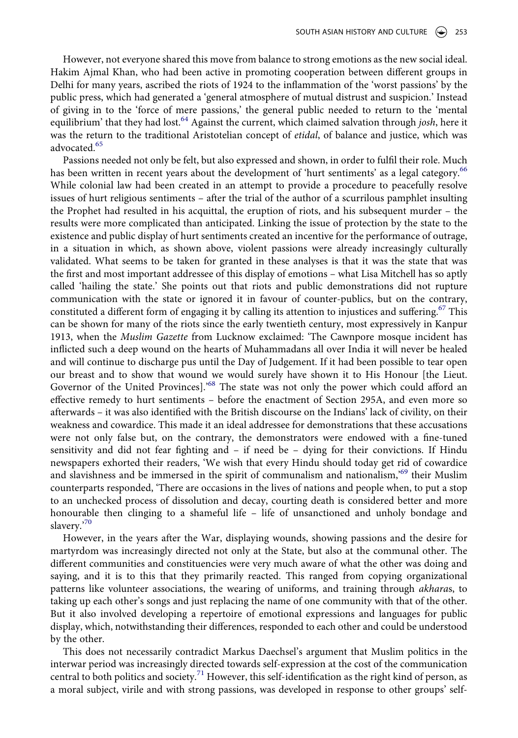However, not everyone shared this move from balance to strong emotions as the new social ideal. Hakim Ajmal Khan, who had been active in promoting cooperation between different groups in Delhi for many years, ascribed the riots of 1924 to the inflammation of the 'worst passions' by the public press, which had generated a 'general atmosphere of mutual distrust and suspicion.' Instead of giving in to the 'force of mere passions,' the general public needed to return to the 'mental equilibrium' that they had lost[.64](#page-15-33) Against the current, which claimed salvation through *josh*, here it was the return to the traditional Aristotelian concept of *etidal*, of balance and justice, which was advocated.<sup>[65](#page-15-34)</sup>

Passions needed not only be felt, but also expressed and shown, in order to fulfil their role. Much has been written in recent years about the development of 'hurt sentiments' as a legal category.<sup>66</sup> While colonial law had been created in an attempt to provide a procedure to peacefully resolve issues of hurt religious sentiments – after the trial of the author of a scurrilous pamphlet insulting the Prophet had resulted in his acquittal, the eruption of riots, and his subsequent murder – the results were more complicated than anticipated. Linking the issue of protection by the state to the existence and public display of hurt sentiments created an incentive for the performance of outrage, in a situation in which, as shown above, violent passions were already increasingly culturally validated. What seems to be taken for granted in these analyses is that it was the state that was the first and most important addressee of this display of emotions – what Lisa Mitchell has so aptly called 'hailing the state.' She points out that riots and public demonstrations did not rupture communication with the state or ignored it in favour of counter-publics, but on the contrary, constituted a different form of engaging it by calling its attention to injustices and suffering.<sup>67</sup> This can be shown for many of the riots since the early twentieth century, most expressively in Kanpur 1913, when the *Muslim Gazette* from Lucknow exclaimed: 'The Cawnpore mosque incident has inflicted such a deep wound on the hearts of Muhammadans all over India it will never be healed and will continue to discharge pus until the Day of Judgement. If it had been possible to tear open our breast and to show that wound we would surely have shown it to His Honour [the Lieut. Governor of the United Provinces].<sup>[68](#page-15-37)</sup> The state was not only the power which could afford an effective remedy to hurt sentiments – before the enactment of Section 295A, and even more so afterwards – it was also identified with the British discourse on the Indians' lack of civility, on their weakness and cowardice. This made it an ideal addressee for demonstrations that these accusations were not only false but, on the contrary, the demonstrators were endowed with a fine-tuned sensitivity and did not fear fighting and  $-$  if need be  $-$  dying for their convictions. If Hindu newspapers exhorted their readers, 'We wish that every Hindu should today get rid of cowardice and slavishness and be immersed in the spirit of communalism and nationalism,['69](#page-15-38) their Muslim counterparts responded, 'There are occasions in the lives of nations and people when, to put a stop to an unchecked process of dissolution and decay, courting death is considered better and more honourable then clinging to a shameful life – life of unsanctioned and unholy bondage and slavery.['70](#page-15-39)

However, in the years after the War, displaying wounds, showing passions and the desire for martyrdom was increasingly directed not only at the State, but also at the communal other. The different communities and constituencies were very much aware of what the other was doing and saying, and it is to this that they primarily reacted. This ranged from copying organizational patterns like volunteer associations, the wearing of uniforms, and training through *akhara*s, to taking up each other's songs and just replacing the name of one community with that of the other. But it also involved developing a repertoire of emotional expressions and languages for public display, which, notwithstanding their differences, responded to each other and could be understood by the other.

This does not necessarily contradict Markus Daechsel's argument that Muslim politics in the interwar period was increasingly directed towards self-expression at the cost of the communication central to both politics and society.<sup>71</sup> However, this self-identification as the right kind of person, as a moral subject, virile and with strong passions, was developed in response to other groups' self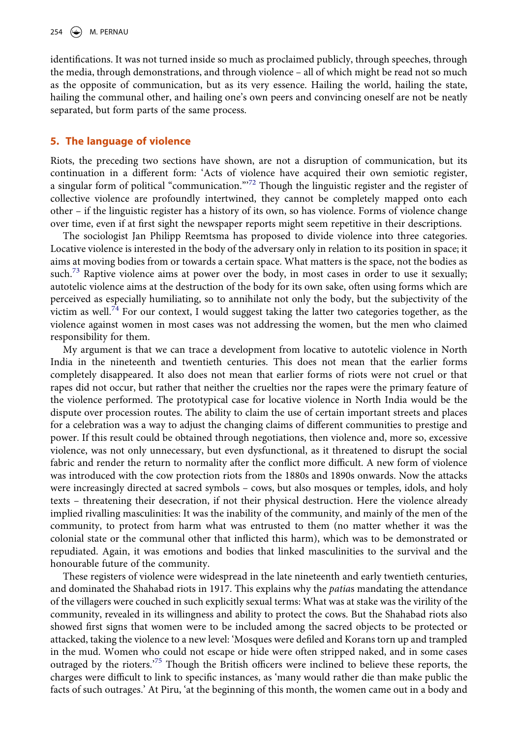identifications. It was not turned inside so much as proclaimed publicly, through speeches, through the media, through demonstrations, and through violence – all of which might be read not so much as the opposite of communication, but as its very essence. Hailing the world, hailing the state, hailing the communal other, and hailing one's own peers and convincing oneself are not be neatly separated, but form parts of the same process.

## <span id="page-11-0"></span>**5. The language of violence**

Riots, the preceding two sections have shown, are not a disruption of communication, but its continuation in a different form: 'Acts of violence have acquired their own semiotic register, a singular form of political "communication."<sup>[72](#page-15-41)</sup> Though the linguistic register and the register of collective violence are profoundly intertwined, they cannot be completely mapped onto each other – if the linguistic register has a history of its own, so has violence. Forms of violence change over time, even if at first sight the newspaper reports might seem repetitive in their descriptions.

The sociologist Jan Philipp Reemtsma has proposed to divide violence into three categories. Locative violence is interested in the body of the adversary only in relation to its position in space; it aims at moving bodies from or towards a certain space. What matters is the space, not the bodies as such.<sup>[73](#page-15-42)</sup> Raptive violence aims at power over the body, in most cases in order to use it sexually; autotelic violence aims at the destruction of the body for its own sake, often using forms which are perceived as especially humiliating, so to annihilate not only the body, but the subjectivity of the victim as well.<sup>[74](#page-15-43)</sup> For our context, I would suggest taking the latter two categories together, as the violence against women in most cases was not addressing the women, but the men who claimed responsibility for them.

My argument is that we can trace a development from locative to autotelic violence in North India in the nineteenth and twentieth centuries. This does not mean that the earlier forms completely disappeared. It also does not mean that earlier forms of riots were not cruel or that rapes did not occur, but rather that neither the cruelties nor the rapes were the primary feature of the violence performed. The prototypical case for locative violence in North India would be the dispute over procession routes. The ability to claim the use of certain important streets and places for a celebration was a way to adjust the changing claims of different communities to prestige and power. If this result could be obtained through negotiations, then violence and, more so, excessive violence, was not only unnecessary, but even dysfunctional, as it threatened to disrupt the social fabric and render the return to normality after the conflict more difficult. A new form of violence was introduced with the cow protection riots from the 1880s and 1890s onwards. Now the attacks were increasingly directed at sacred symbols – cows, but also mosques or temples, idols, and holy texts – threatening their desecration, if not their physical destruction. Here the violence already implied rivalling masculinities: It was the inability of the community, and mainly of the men of the community, to protect from harm what was entrusted to them (no matter whether it was the colonial state or the communal other that inflicted this harm), which was to be demonstrated or repudiated. Again, it was emotions and bodies that linked masculinities to the survival and the honourable future of the community.

These registers of violence were widespread in the late nineteenth and early twentieth centuries, and dominated the Shahabad riots in 1917. This explains why the *patia*s mandating the attendance of the villagers were couched in such explicitly sexual terms: What was at stake was the virility of the community, revealed in its willingness and ability to protect the cows. But the Shahabad riots also showed first signs that women were to be included among the sacred objects to be protected or attacked, taking the violence to a new level: 'Mosques were defiled and Korans torn up and trampled in the mud. Women who could not escape or hide were often stripped naked, and in some cases outraged by the rioters.['75](#page-15-44) Though the British officers were inclined to believe these reports, the charges were difficult to link to specific instances, as 'many would rather die than make public the facts of such outrages.' At Piru, 'at the beginning of this month, the women came out in a body and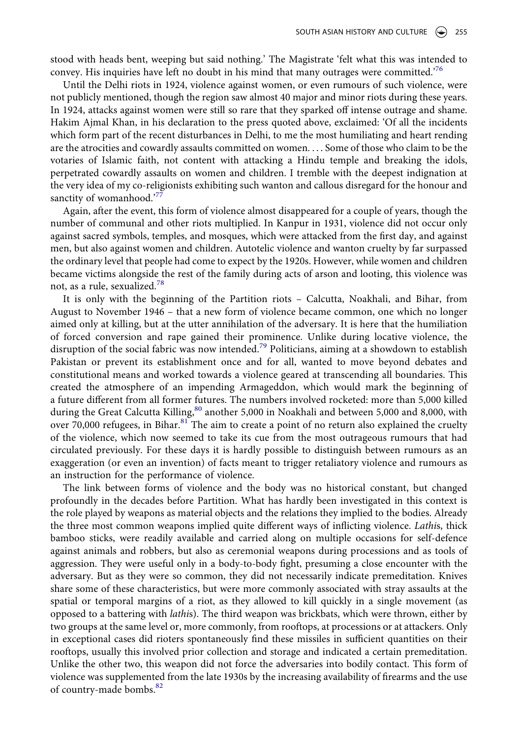stood with heads bent, weeping but said nothing.' The Magistrate 'felt what this was intended to convey. His inquiries have left no doubt in his mind that many outrages were committed.<sup>[76](#page-16-0)</sup>

Until the Delhi riots in 1924, violence against women, or even rumours of such violence, were not publicly mentioned, though the region saw almost 40 major and minor riots during these years. In 1924, attacks against women were still so rare that they sparked off intense outrage and shame. Hakim Ajmal Khan, in his declaration to the press quoted above, exclaimed: 'Of all the incidents which form part of the recent disturbances in Delhi, to me the most humiliating and heart rending are the atrocities and cowardly assaults committed on women. . . . Some of those who claim to be the votaries of Islamic faith, not content with attacking a Hindu temple and breaking the idols, perpetrated cowardly assaults on women and children. I tremble with the deepest indignation at the very idea of my co-religionists exhibiting such wanton and callous disregard for the honour and sanctity of womanhood.<sup>'[77](#page-16-1)</sup>

Again, after the event, this form of violence almost disappeared for a couple of years, though the number of communal and other riots multiplied. In Kanpur in 1931, violence did not occur only against sacred symbols, temples, and mosques, which were attacked from the first day, and against men, but also against women and children. Autotelic violence and wanton cruelty by far surpassed the ordinary level that people had come to expect by the 1920s. However, while women and children became victims alongside the rest of the family during acts of arson and looting, this violence was not, as a rule, sexualized.[78](#page-16-2)

It is only with the beginning of the Partition riots – Calcutta, Noakhali, and Bihar, from August to November 1946 – that a new form of violence became common, one which no longer aimed only at killing, but at the utter annihilation of the adversary. It is here that the humiliation of forced conversion and rape gained their prominence. Unlike during locative violence, the disruption of the social fabric was now intended.<sup>79</sup> Politicians, aiming at a showdown to establish Pakistan or prevent its establishment once and for all, wanted to move beyond debates and constitutional means and worked towards a violence geared at transcending all boundaries. This created the atmosphere of an impending Armageddon, which would mark the beginning of a future different from all former futures. The numbers involved rocketed: more than 5,000 killed during the Great Calcutta Killing,<sup>80</sup> another 5,000 in Noakhali and between 5,000 and 8,000, with over 70,000 refugees, in Bihar. $81$  The aim to create a point of no return also explained the cruelty of the violence, which now seemed to take its cue from the most outrageous rumours that had circulated previously. For these days it is hardly possible to distinguish between rumours as an exaggeration (or even an invention) of facts meant to trigger retaliatory violence and rumours as an instruction for the performance of violence.

The link between forms of violence and the body was no historical constant, but changed profoundly in the decades before Partition. What has hardly been investigated in this context is the role played by weapons as material objects and the relations they implied to the bodies. Already the three most common weapons implied quite different ways of inflicting violence. *Lathi*s, thick bamboo sticks, were readily available and carried along on multiple occasions for self-defence against animals and robbers, but also as ceremonial weapons during processions and as tools of aggression. They were useful only in a body-to-body fight, presuming a close encounter with the adversary. But as they were so common, they did not necessarily indicate premeditation. Knives share some of these characteristics, but were more commonly associated with stray assaults at the spatial or temporal margins of a riot, as they allowed to kill quickly in a single movement (as opposed to a battering with *lathi*s). The third weapon was brickbats, which were thrown, either by two groups at the same level or, more commonly, from rooftops, at processions or at attackers. Only in exceptional cases did rioters spontaneously find these missiles in sufficient quantities on their rooftops, usually this involved prior collection and storage and indicated a certain premeditation. Unlike the other two, this weapon did not force the adversaries into bodily contact. This form of violence was supplemented from the late 1930s by the increasing availability of firearms and the use of country-made bombs.<sup>[82](#page-16-6)</sup>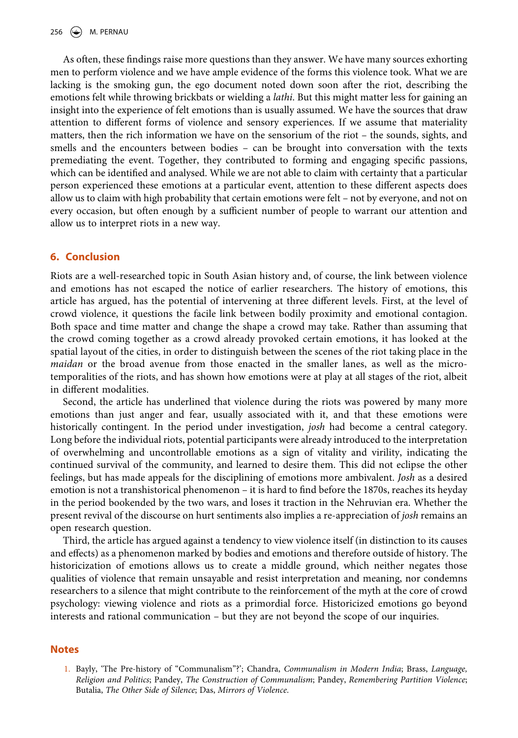As often, these findings raise more questions than they answer. We have many sources exhorting men to perform violence and we have ample evidence of the forms this violence took. What we are lacking is the smoking gun, the ego document noted down soon after the riot, describing the emotions felt while throwing brickbats or wielding a *lathi*. But this might matter less for gaining an insight into the experience of felt emotions than is usually assumed. We have the sources that draw attention to different forms of violence and sensory experiences. If we assume that materiality matters, then the rich information we have on the sensorium of the riot – the sounds, sights, and smells and the encounters between bodies – can be brought into conversation with the texts premediating the event. Together, they contributed to forming and engaging specific passions, which can be identified and analysed. While we are not able to claim with certainty that a particular person experienced these emotions at a particular event, attention to these different aspects does allow us to claim with high probability that certain emotions were felt – not by everyone, and not on every occasion, but often enough by a sufficient number of people to warrant our attention and allow us to interpret riots in a new way.

#### **6. Conclusion**

Riots are a well-researched topic in South Asian history and, of course, the link between violence and emotions has not escaped the notice of earlier researchers. The history of emotions, this article has argued, has the potential of intervening at three different levels. First, at the level of crowd violence, it questions the facile link between bodily proximity and emotional contagion. Both space and time matter and change the shape a crowd may take. Rather than assuming that the crowd coming together as a crowd already provoked certain emotions, it has looked at the spatial layout of the cities, in order to distinguish between the scenes of the riot taking place in the *maidan* or the broad avenue from those enacted in the smaller lanes, as well as the microtemporalities of the riots, and has shown how emotions were at play at all stages of the riot, albeit in different modalities.

Second, the article has underlined that violence during the riots was powered by many more emotions than just anger and fear, usually associated with it, and that these emotions were historically contingent. In the period under investigation, *josh* had become a central category. Long before the individual riots, potential participants were already introduced to the interpretation of overwhelming and uncontrollable emotions as a sign of vitality and virility, indicating the continued survival of the community, and learned to desire them. This did not eclipse the other feelings, but has made appeals for the disciplining of emotions more ambivalent. *Josh* as a desired emotion is not a transhistorical phenomenon – it is hard to find before the 1870s, reaches its heyday in the period bookended by the two wars, and loses it traction in the Nehruvian era. Whether the present revival of the discourse on hurt sentiments also implies a re-appreciation of *josh* remains an open research question.

Third, the article has argued against a tendency to view violence itself (in distinction to its causes and effects) as a phenomenon marked by bodies and emotions and therefore outside of history. The historicization of emotions allows us to create a middle ground, which neither negates those qualities of violence that remain unsayable and resist interpretation and meaning, nor condemns researchers to a silence that might contribute to the reinforcement of the myth at the core of crowd psychology: viewing violence and riots as a primordial force. Historicized emotions go beyond interests and rational communication – but they are not beyond the scope of our inquiries.

#### **Notes**

<span id="page-13-0"></span>1. Bayly, 'The Pre-history of "Communalism"?'; Chandra, *Communalism in Modern India*; Brass, *Language, Religion and Politics*; Pandey, *The Construction of Communalism*; Pandey, *Remembering Partition Violence*; Butalia, *The Other Side of Silence*; Das, *Mirrors of Violence*.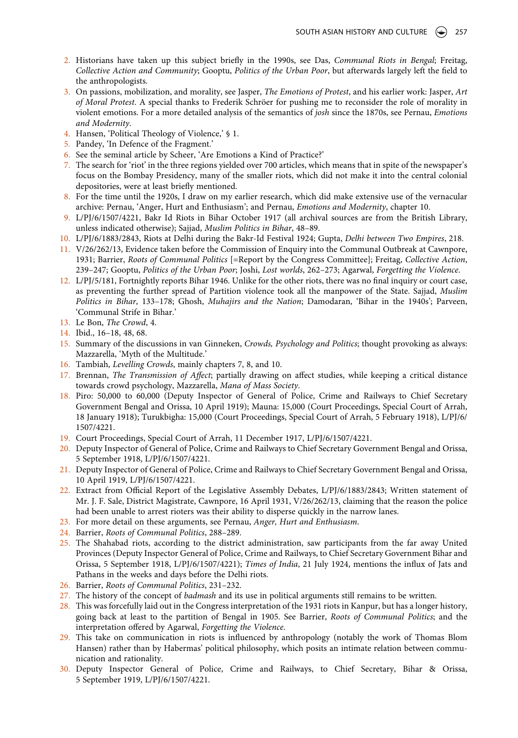- <span id="page-14-0"></span>2. Historians have taken up this subject briefly in the 1990s, see Das, *Communal Riots in Bengal*; Freitag, *Collective Action and Community*; Gooptu, *Politics of the Urban Poor*, but afterwards largely left the field to the anthropologists.
- <span id="page-14-1"></span>3. On passions, mobilization, and morality, see Jasper, *The Emotions of Protest*, and his earlier work: Jasper, *Art of Moral Protest*. A special thanks to Frederik Schröer for pushing me to reconsider the role of morality in violent emotions. For a more detailed analysis of the semantics of *josh* since the 1870s, see Pernau, *Emotions and Modernity*.
- <span id="page-14-2"></span>4. Hansen, 'Political Theology of Violence,' § 1.
- <span id="page-14-3"></span>5. Pandey, 'In Defence of the Fragment.'
- <span id="page-14-4"></span>6. See the seminal article by Scheer, 'Are Emotions a Kind of Practice?'
- <span id="page-14-5"></span>7. The search for 'riot' in the three regions yielded over 700 articles, which means that in spite of the newspaper's focus on the Bombay Presidency, many of the smaller riots, which did not make it into the central colonial depositories, were at least briefly mentioned.
- <span id="page-14-6"></span>8. For the time until the 1920s, I draw on my earlier research, which did make extensive use of the vernacular archive: Pernau, 'Anger, Hurt and Enthusiasm'; and Pernau, *Emotions and Modernity*, chapter 10.
- <span id="page-14-7"></span>9. L/PJ/6/1507/4221, Bakr Id Riots in Bihar October 1917 (all archival sources are from the British Library, unless indicated otherwise); Sajjad, *Muslim Politics in Bihar*, 48–89.
- <span id="page-14-9"></span><span id="page-14-8"></span>10. L/PJ/6/1883/2843, Riots at Delhi during the Bakr-Id Festival 1924; Gupta, *Delhi between Two Empires*, 218. 11. V/26/262/13, Evidence taken before the Commission of Enquiry into the Communal Outbreak at Cawnpore,
- 1931; Barrier, *Roots of Communal Politics* [=Report by the Congress Committee]; Freitag, *Collective Action*, 239–247; Gooptu, *Politics of the Urban Poor*; Joshi, *Lost worlds*, 262–273; Agarwal, *Forgetting the Violence*.
- <span id="page-14-10"></span>12. L/PJ/5/181, Fortnightly reports Bihar 1946. Unlike for the other riots, there was no final inquiry or court case, as preventing the further spread of Partition violence took all the manpower of the State. Sajjad, *Muslim Politics in Bihar*, 133–178; Ghosh, *Muhajirs and the Nation*; Damodaran, 'Bihar in the 1940s'; Parveen, 'Communal Strife in Bihar.'
- <span id="page-14-11"></span>13. Le Bon, *The Crowd*, 4.
- <span id="page-14-12"></span>14. Ibid., 16–18, 48, 68.
- <span id="page-14-13"></span>15. Summary of the discussions in van Ginneken, *Crowds, Psychology and Politics*; thought provoking as always: Mazzarella, 'Myth of the Multitude.'
- <span id="page-14-14"></span>16. Tambiah, *Levelling Crowds*, mainly chapters 7, 8, and 10.
- <span id="page-14-15"></span>17. Brennan, *The Transmission of Affect*; partially drawing on affect studies, while keeping a critical distance towards crowd psychology, Mazzarella, *Mana of Mass Society*.
- <span id="page-14-16"></span>18. Piro: 50,000 to 60,000 (Deputy Inspector of General of Police, Crime and Railways to Chief Secretary Government Bengal and Orissa, 10 April 1919); Mauna: 15,000 (Court Proceedings, Special Court of Arrah, 18 January 1918); Turukbigha: 15,000 (Court Proceedings, Special Court of Arrah, 5 February 1918), L/PJ/6/ 1507/4221.
- <span id="page-14-17"></span>19. Court Proceedings, Special Court of Arrah, 11 December 1917, L/PJ/6/1507/4221.
- <span id="page-14-18"></span>20. Deputy Inspector of General of Police, Crime and Railways to Chief Secretary Government Bengal and Orissa, 5 September 1918, L/PJ/6/1507/4221.
- <span id="page-14-19"></span>21. Deputy Inspector of General of Police, Crime and Railways to Chief Secretary Government Bengal and Orissa, 10 April 1919, L/PJ/6/1507/4221.
- <span id="page-14-20"></span>22. Extract from Official Report of the Legislative Assembly Debates, L/PJ/6/1883/2843; Written statement of Mr. J. F. Sale, District Magistrate, Cawnpore, 16 April 1931, V/26/262/13, claiming that the reason the police had been unable to arrest rioters was their ability to disperse quickly in the narrow lanes.
- <span id="page-14-21"></span>23. For more detail on these arguments, see Pernau, *Anger, Hurt and Enthusiasm*.
- <span id="page-14-22"></span>24. Barrier, *Roots of Communal Politics*, 288–289.
- <span id="page-14-23"></span>25. The Shahabad riots, according to the district administration, saw participants from the far away United Provinces (Deputy Inspector General of Police, Crime and Railways, to Chief Secretary Government Bihar and Orissa, 5 September 1918, L/PJ/6/1507/4221); *Times of India*, 21 July 1924, mentions the influx of Jats and Pathans in the weeks and days before the Delhi riots.
- <span id="page-14-24"></span>26. Barrier, *Roots of Communal Politics*, 231–232.
- <span id="page-14-25"></span>27. The history of the concept of *badmash* and its use in political arguments still remains to be written.
- <span id="page-14-26"></span>28. This was forcefully laid out in the Congress interpretation of the 1931 riots in Kanpur, but has a longer history, going back at least to the partition of Bengal in 1905. See Barrier, *Roots of Communal Politics*; and the interpretation offered by Agarwal, *Forgetting the Violence*.
- <span id="page-14-27"></span>29. This take on communication in riots is influenced by anthropology (notably the work of Thomas Blom Hansen) rather than by Habermas' political philosophy, which posits an intimate relation between communication and rationality.
- <span id="page-14-28"></span>30. Deputy Inspector General of Police, Crime and Railways, to Chief Secretary, Bihar & Orissa, 5 September 1919, L/PJ/6/1507/4221.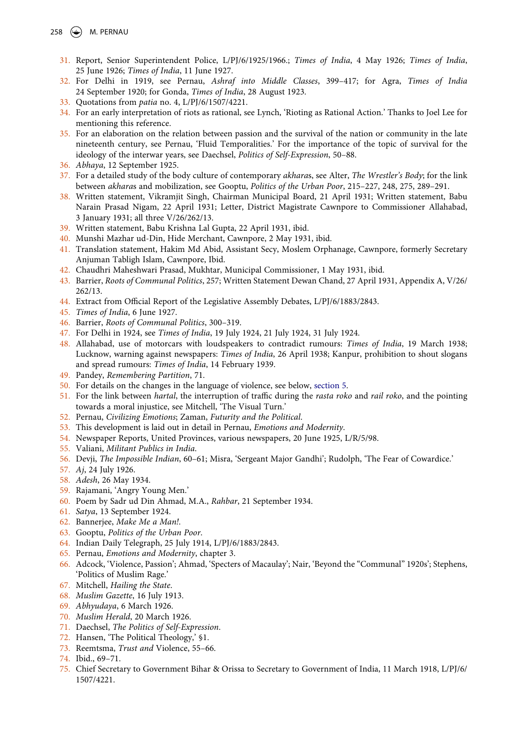- <span id="page-15-0"></span>31. Report, Senior Superintendent Police, L/PJ/6/1925/1966.; *Times of India*, 4 May 1926; *Times of India*, 25 June 1926; *Times of India*, 11 June 1927.
- <span id="page-15-1"></span>32. For Delhi in 1919, see Pernau, *Ashraf into Middle Classes*, 399–417; for Agra, *Times of India*  24 September 1920; for Gonda, *Times of India*, 28 August 1923.
- <span id="page-15-2"></span>33. Quotations from *patia* no. 4, L/PJ/6/1507/4221.
- <span id="page-15-3"></span>34. For an early interpretation of riots as rational, see Lynch, 'Rioting as Rational Action.' Thanks to Joel Lee for mentioning this reference.
- <span id="page-15-4"></span>35. For an elaboration on the relation between passion and the survival of the nation or community in the late nineteenth century, see Pernau, 'Fluid Temporalities.' For the importance of the topic of survival for the ideology of the interwar years, see Daechsel, *Politics of Self-Expression*, 50–88.
- <span id="page-15-5"></span>36. *Abhaya*, 12 September 1925.
- <span id="page-15-6"></span>37. For a detailed study of the body culture of contemporary *akhara*s, see Alter, *The Wrestler's Body*; for the link between *akhara*s and mobilization, see Gooptu, *Politics of the Urban Poor*, 215–227, 248, 275, 289–291.
- <span id="page-15-7"></span>38. Written statement, Vikramjit Singh, Chairman Municipal Board, 21 April 1931; Written statement, Babu Narain Prasad Nigam, 22 April 1931; Letter, District Magistrate Cawnpore to Commissioner Allahabad, 3 January 1931; all three V/26/262/13.
- <span id="page-15-8"></span>39. Written statement, Babu Krishna Lal Gupta, 22 April 1931, ibid.
- <span id="page-15-9"></span>40. Munshi Mazhar ud-Din, Hide Merchant, Cawnpore, 2 May 1931, ibid.
- <span id="page-15-10"></span>41. Translation statement, Hakim Md Abid, Assistant Secy, Moslem Orphanage, Cawnpore, formerly Secretary Anjuman Tabligh Islam, Cawnpore, Ibid.
- <span id="page-15-11"></span>42. Chaudhri Maheshwari Prasad, Mukhtar, Municipal Commissioner, 1 May 1931, ibid.
- <span id="page-15-12"></span>43. Barrier, *Roots of Communal Politics*, 257; Written Statement Dewan Chand, 27 April 1931, Appendix A, V/26/ 262/13.
- <span id="page-15-13"></span>44. Extract from Official Report of the Legislative Assembly Debates, L/PJ/6/1883/2843.
- <span id="page-15-14"></span>45. *Times of India*, 6 June 1927.
- <span id="page-15-15"></span>46. Barrier, *Roots of Communal Politics*, 300–319.
- <span id="page-15-16"></span>47. For Delhi in 1924, see *Times of India*, 19 July 1924, 21 July 1924, 31 July 1924.
- <span id="page-15-17"></span>48. Allahabad, use of motorcars with loudspeakers to contradict rumours: *Times of India*, 19 March 1938; Lucknow, warning against newspapers: *Times of India*, 26 April 1938; Kanpur, prohibition to shout slogans and spread rumours: *Times of India*, 14 February 1939.
- <span id="page-15-18"></span>49. Pandey, *Remembering Partition*, 71.
- <span id="page-15-19"></span>50. For details on the changes in the language of violence, see below, [section 5.](#page-11-0)
- <span id="page-15-20"></span>51. For the link between *hartal*, the interruption of traffic during the *rasta roko* and *rail roko*, and the pointing towards a moral injustice, see Mitchell, 'The Visual Turn.'
- <span id="page-15-21"></span>52. Pernau, *Civilizing Emotions*; Zaman, *Futurity and the Political*.
- <span id="page-15-22"></span>53. This development is laid out in detail in Pernau, *Emotions and Modernity*.
- <span id="page-15-23"></span>54. Newspaper Reports, United Provinces, various newspapers, 20 June 1925, L/R/5/98.
- <span id="page-15-24"></span>55. Valiani, *Militant Publics in India*.
- <span id="page-15-25"></span>56. Devji, *The Impossible Indian*, 60–61; Misra, 'Sergeant Major Gandhi'; Rudolph, 'The Fear of Cowardice.'
- <span id="page-15-26"></span>57. *Aj*, 24 July 1926.
- <span id="page-15-27"></span>58. *Adesh*, 26 May 1934.
- <span id="page-15-28"></span>59. Rajamani, 'Angry Young Men.'
- <span id="page-15-29"></span>60. Poem by Sadr ud Din Ahmad, M.A., *Rahbar*, 21 September 1934.
- <span id="page-15-30"></span>61. *Satya*, 13 September 1924.
- <span id="page-15-31"></span>62. Bannerjee, *Make Me a Man!*.
- <span id="page-15-32"></span>63. Gooptu, *Politics of the Urban Poor*.
- <span id="page-15-33"></span>64. Indian Daily Telegraph, 25 July 1914, L/PJ/6/1883/2843.
- <span id="page-15-34"></span>65. Pernau, *Emotions and Modernity*, chapter 3.
- <span id="page-15-35"></span>66. Adcock, 'Violence, Passion'; Ahmad, 'Specters of Macaulay'; Nair, 'Beyond the "Communal" 1920s'; Stephens, 'Politics of Muslim Rage.'
- <span id="page-15-36"></span>67. Mitchell, *Hailing the State*.
- <span id="page-15-37"></span>68. *Muslim Gazette*, 16 July 1913.
- <span id="page-15-38"></span>69. *Abhyudaya*, 6 March 1926.
- <span id="page-15-39"></span>70. *Muslim Herald*, 20 March 1926.
- <span id="page-15-40"></span>71. Daechsel, *The Politics of Self-Expression*.
- <span id="page-15-41"></span>72. Hansen, 'The Political Theology,' §1.
- <span id="page-15-42"></span>73. Reemtsma, *Trust and* Violence, 55–66.
- <span id="page-15-43"></span>74. Ibid., 69–71.
- <span id="page-15-44"></span>75. Chief Secretary to Government Bihar & Orissa to Secretary to Government of India, 11 March 1918, L/PJ/6/ 1507/4221.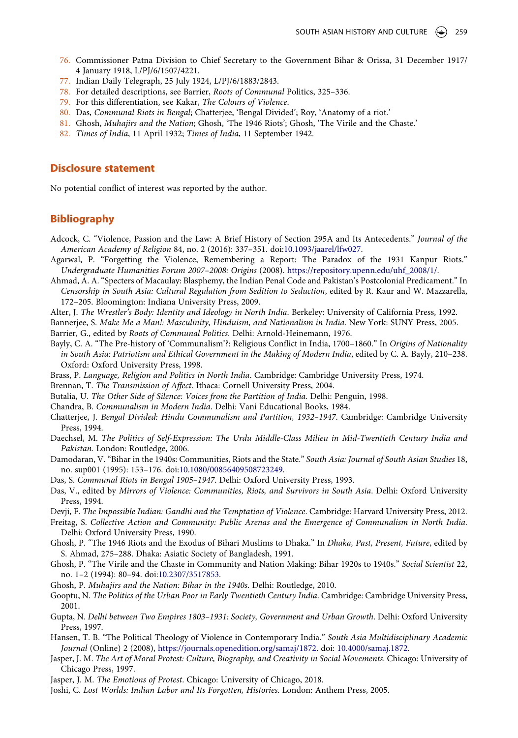- <span id="page-16-0"></span>76. Commissioner Patna Division to Chief Secretary to the Government Bihar & Orissa, 31 December 1917/ 4 January 1918, L/PJ/6/1507/4221.
- <span id="page-16-1"></span>77. Indian Daily Telegraph, 25 July 1924, L/PJ/6/1883/2843.
- <span id="page-16-2"></span>78. For detailed descriptions, see Barrier, *Roots of Communal* Politics, 325–336.
- <span id="page-16-3"></span>79. For this differentiation, see Kakar, *The Colours of Violence*.
- <span id="page-16-4"></span>80. Das, *Communal Riots in Bengal*; Chatterjee, 'Bengal Divided'; Roy, 'Anatomy of a riot.'
- <span id="page-16-5"></span>81. Ghosh, *Muhajirs and the Nation*; Ghosh, 'The 1946 Riots'; Ghosh, 'The Virile and the Chaste.'
- <span id="page-16-6"></span>82. *Times of India*, 11 April 1932; *Times of India*, 11 September 1942.

#### **Disclosure statement**

No potential conflict of interest was reported by the author.

## **Bibliography**

- Adcock, C. "Violence, Passion and the Law: A Brief History of Section 295A and Its Antecedents." *Journal of the American Academy of Religion* 84, no. 2 (2016): 337–351. doi:[10.1093/jaarel/lfw027.](https://doi.org/10.1093/jaarel/lfw027)
- Agarwal, P. "Forgetting the Violence, Remembering a Report: The Paradox of the 1931 Kanpur Riots." *Undergraduate Humanities Forum 2007–2008: Origins* (2008). [https://repository.upenn.edu/uhf\\_2008/1/](https://repository.upenn.edu/uhf_2008/1/).
- Ahmad, A. A. "Specters of Macaulay: Blasphemy, the Indian Penal Code and Pakistan's Postcolonial Predicament." In *Censorship in South Asia: Cultural Regulation from Sedition to Seduction*, edited by R. Kaur and W. Mazzarella, 172–205. Bloomington: Indiana University Press, 2009.
- Alter, J. *The Wrestler's Body: Identity and Ideology in North India*. Berkeley: University of California Press, 1992.

Bannerjee, S. *Make Me a Man!: Masculinity, Hinduism, and Nationalism in India*. New York: SUNY Press, 2005. Barrier, G., edited by *Roots of Communal Politics*. Delhi: Arnold-Heinemann, 1976.

- Bayly, C. A. "The Pre-history of 'Communalism'?: Religious Conflict in India, 1700–1860." In *Origins of Nationality in South Asia: Patriotism and Ethical Government in the Making of Modern India*, edited by C. A. Bayly, 210–238. Oxford: Oxford University Press, 1998.
- Brass, P. *Language, Religion and Politics in North India*. Cambridge: Cambridge University Press, 1974.

Brennan, T. *The Transmission of Affect*. Ithaca: Cornell University Press, 2004.

- Butalia, U. *The Other Side of Silence: Voices from the Partition of India*. Delhi: Penguin, 1998.
- Chandra, B. *Communalism in Modern India*. Delhi: Vani Educational Books, 1984.
- Chatterjee, J. *Bengal Divided: Hindu Communalism and Partition, 1932–1947*. Cambridge: Cambridge University Press, 1994.
- Daechsel, M. *The Politics of Self-Expression: The Urdu Middle-Class Milieu in Mid-Twentieth Century India and Pakistan*. London: Routledge, 2006.
- Damodaran, V. "Bihar in the 1940s: Communities, Riots and the State." *South Asia: Journal of South Asian Studies* 18, no. sup001 (1995): 153–176. doi:[10.1080/00856409508723249](https://doi.org/10.1080/00856409508723249).
- Das, S. *Communal Riots in Bengal 1905–1947*. Delhi: Oxford University Press, 1993.
- Das, V., edited by *Mirrors of Violence: Communities, Riots, and Survivors in South Asia*. Delhi: Oxford University Press, 1994.
- Devji, F. *The Impossible Indian: Gandhi and the Temptation of Violence*. Cambridge: Harvard University Press, 2012.
- Freitag, S. *Collective Action and Community: Public Arenas and the Emergence of Communalism in North India*. Delhi: Oxford University Press, 1990.
- Ghosh, P. "The 1946 Riots and the Exodus of Bihari Muslims to Dhaka." In *Dhaka, Past, Present, Future*, edited by S. Ahmad, 275–288. Dhaka: Asiatic Society of Bangladesh, 1991.
- Ghosh, P. "The Virile and the Chaste in Community and Nation Making: Bihar 1920s to 1940s." *Social Scientist* 22, no. 1–2 (1994): 80–94. doi:[10.2307/3517853.](https://doi.org/10.2307/3517853)
- Ghosh, P. *Muhajirs and the Nation: Bihar in the 1940s*. Delhi: Routledge, 2010.
- Gooptu, N. *The Politics of the Urban Poor in Early Twentieth Century India*. Cambridge: Cambridge University Press, 2001.
- Gupta, N. *Delhi between Two Empires 1803–1931: Society, Government and Urban Growth*. Delhi: Oxford University Press, 1997.
- Hansen, T. B. "The Political Theology of Violence in Contemporary India." *South Asia Multidisciplinary Academic Journal* (Online) 2 (2008), [https://journals.openedition.org/samaj/1872](https://doi.org/10.4000/samaj.1872). doi: [10.4000/samaj.1872](https://doi.org/10.4000/samaj.1872).
- Jasper, J. M. *The Art of Moral Protest: Culture, Biography, and Creativity in Social Movements*. Chicago: University of Chicago Press, 1997.
- Jasper, J. M. *The Emotions of Protest*. Chicago: University of Chicago, 2018.
- Joshi, C. *Lost Worlds: Indian Labor and Its Forgotten, Histories*. London: Anthem Press, 2005.